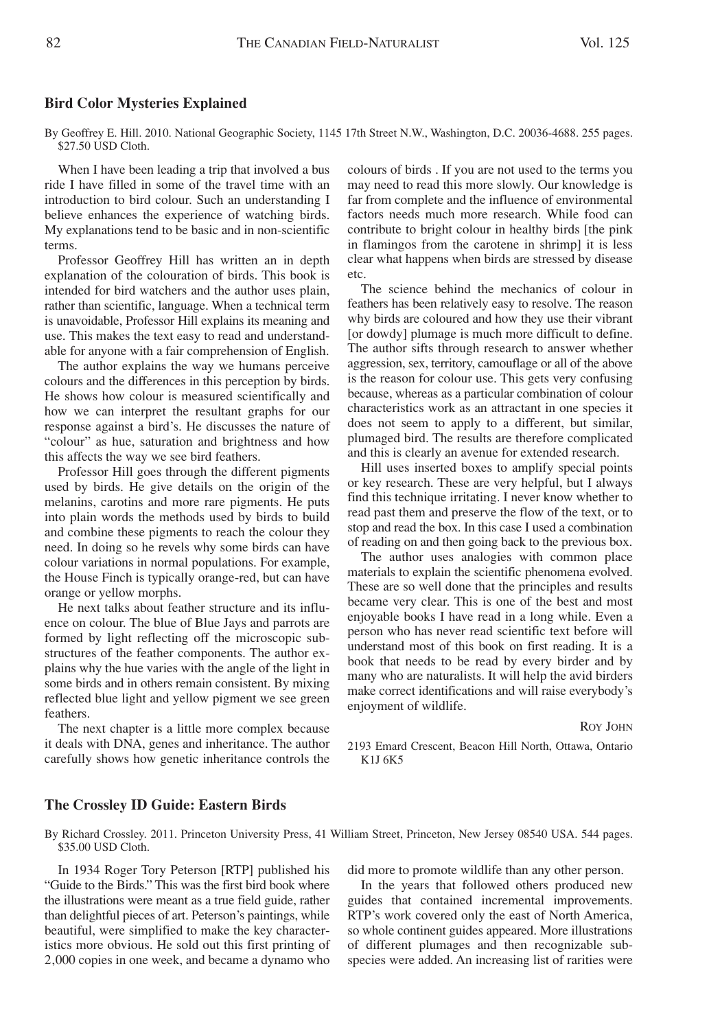## **Bird Color Mysteries Explained**

By Geoffrey E. Hill. 2010. National Geographic Society, 1145 17th Street N.W., Washington, D.C. 20036-4688. 255 pages. \$27.50 USD Cloth.

When I have been leading a trip that involved a bus ride I have filled in some of the travel time with an introduction to bird colour. Such an understanding I believe enhances the experience of watching birds. My explanations tend to be basic and in non-scientific terms.

Professor Geoffrey Hill has written an in depth explanation of the colouration of birds. This book is intended for bird watchers and the author uses plain, rather than scientific, language. When a technical term is unavoidable, Professor Hill explains its meaning and use. This makes the text easy to read and understandable for anyone with a fair comprehension of English.

The author explains the way we humans perceive colours and the differences in this perception by birds. He shows how colour is measured scientifically and how we can interpret the resultant graphs for our response against a bird's. He discusses the nature of "colour" as hue, saturation and brightness and how this affects the way we see bird feathers.

Professor Hill goes through the different pigments used by birds. He give details on the origin of the melanins, carotins and more rare pigments. He puts into plain words the methods used by birds to build and combine these pigments to reach the colour they need. In doing so he revels why some birds can have colour variations in normal populations. For example, the House Finch is typically orange-red, but can have orange or yellow morphs.

He next talks about feather structure and its influence on colour. The blue of Blue Jays and parrots are formed by light reflecting off the microscopic substructures of the feather components. The author explains why the hue varies with the angle of the light in some birds and in others remain consistent. By mixing reflected blue light and yellow pigment we see green feathers.

The next chapter is a little more complex because it deals with DNA, genes and inheritance. The author carefully shows how genetic inheritance controls the colours of birds . If you are not used to the terms you may need to read this more slowly. Our knowledge is far from complete and the influence of environmental factors needs much more research. While food can contribute to bright colour in healthy birds [the pink in flamingos from the carotene in shrimp] it is less clear what happens when birds are stressed by disease etc.

The science behind the mechanics of colour in feathers has been relatively easy to resolve. The reason why birds are coloured and how they use their vibrant [or dowdy] plumage is much more difficult to define. The author sifts through research to answer whether aggression, sex, territory, camouflage or all of the above is the reason for colour use. This gets very confusing because, whereas as a particular combination of colour characteristics work as an attractant in one species it does not seem to apply to a different, but similar, plumaged bird. The results are therefore complicated and this is clearly an avenue for extended research.

Hill uses inserted boxes to amplify special points or key research. These are very helpful, but I always find this technique irritating. I never know whether to read past them and preserve the flow of the text, or to stop and read the box. In this case I used a combination of reading on and then going back to the previous box.

The author uses analogies with common place materials to explain the scientific phenomena evolved. These are so well done that the principles and results became very clear. This is one of the best and most enjoyable books I have read in a long while. Even a person who has never read scientific text before will understand most of this book on first reading. It is a book that needs to be read by every birder and by many who are naturalists. It will help the avid birders make correct identifications and will raise everybody's enjoyment of wildlife.

ROY JOHN

2193 Emard Crescent, Beacon Hill North, Ottawa, Ontario K1J 6K5

## **The Crossley ID Guide: Eastern Birds**

By Richard Crossley. 2011. Princeton University Press, 41 William Street, Princeton, New Jersey 08540 USA. 544 pages. \$35.00 USD Cloth.

In 1934 Roger Tory Peterson [RTP] published his "Guide to the Birds." This was the first bird book where the illustrations were meant as a true field guide, rather than delightful pieces of art. Peterson's paintings, while beautiful, were simplified to make the key characteristics more obvious. He sold out this first printing of 2'000 copies in one week, and became a dynamo who did more to promote wildlife than any other person.

In the years that followed others produced new guides that contained incremental improvements. RTP's work covered only the east of North America, so whole continent guides appeared. More illustrations of different plumages and then recognizable subspecies were added. An increasing list of rarities were